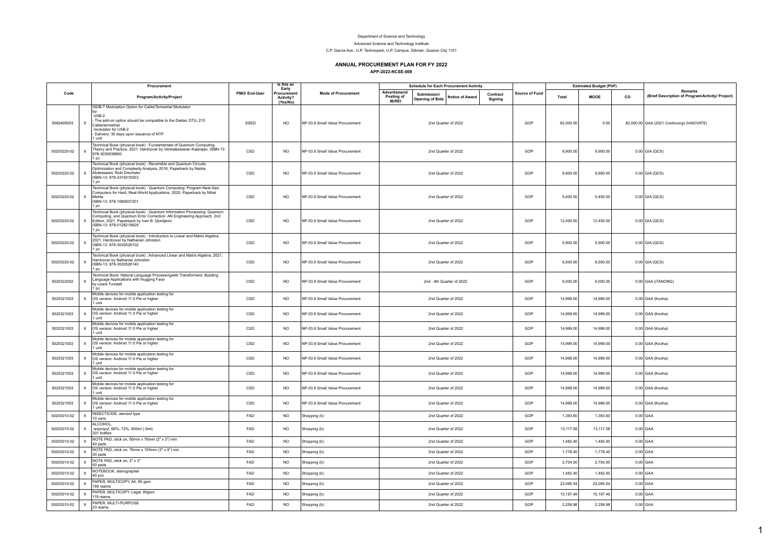## Department of Science and Technology

Advanced Science and Technology Institute

C.P. Garcia Ave., U.P. Technopark, U.P. Campus, Diliman, Quezon City 1101

## **ANNUAL PROCUREMENT PLAN FOR FY 2022**

**APP-2022-NCSE-009**

| Code        |              | Procurement                                                                                                                                                                                                                            | PMO/ End-User | Is this an<br>Early<br>Procuremen<br>Activity?<br>(Yes/No) | <b>Mode of Procurement</b>      | <b>Schedule for Each Procurement Activity</b> |                                      |                           |                     | <b>Estimated Budget (PhP)</b> |           |             |    |                                                                    |
|-------------|--------------|----------------------------------------------------------------------------------------------------------------------------------------------------------------------------------------------------------------------------------------|---------------|------------------------------------------------------------|---------------------------------|-----------------------------------------------|--------------------------------------|---------------------------|---------------------|-------------------------------|-----------|-------------|----|--------------------------------------------------------------------|
|             |              | Program/Activity/Project                                                                                                                                                                                                               |               |                                                            |                                 | Advertisment/<br>Posting of<br><b>IB/REI</b>  | Submission<br><b>Opening of Bids</b> | <b>Notice of Award</b>    | Contract<br>Signing | <b>Source of Fund</b>         | Total     | <b>MOOE</b> | co | <b>Remarks</b><br>(Brief Description of Program/Activity/ Project) |
| 5060405003  | $\alpha$     | ISDB-T Modulation Option for Cable/Terrestrial Modulator<br>USB-2<br>The add-on option should be compatible to the Dektec DTU1215<br>Cable/terrestrial<br>modulator for USB-2<br>Delivery: 30 days upon issuance of NTP<br>l unit      | SSED          | <b>NO</b>                                                  | NP-53.9 Small Value Procurement |                                               |                                      | 2nd Quarter of 2022       |                     | GOP                           | 82,000.00 | 0.00        |    | 82,000.00 GAA (2021 Continuing) (InNOVATE)                         |
| 50203220-02 |              | Technical Book (physical book) : Fundamentals of Quantum Computing:<br>Theory and Practice, 2021, Hardcover by Venkateswaran Kasirajan, ISBN-13:<br>978-3030636883<br>l pc                                                             | CSD           | <b>NO</b>                                                  | NP-53.9 Small Value Procurement |                                               |                                      | 2nd Quarter of 2022       |                     | GOP                           | 9,900.00  | 9.900.00    |    | $0.00$ GIA (QCS)                                                   |
| 50203220-02 | $\mathbf{q}$ | Technical Book (physical book) : Reversible and Quantum Circuits:<br>Optimization and Complexity Analysis, 2016, Paperback by Nabila<br>Abdessaied, Rold Drechsler<br>ISBN-13: 978-3319319353<br>1 <sub>DC</sub>                       | CSD           | <b>NO</b>                                                  | NP-53.9 Small Value Procurement |                                               |                                      | 2nd Quarter of 2022       |                     | GOP                           | 9,900.00  | 9,900.00    |    | 0.00 GIA (QCS)                                                     |
| 50203220-02 | $\mathbf{g}$ | Technical Book (physical book) : Quantum Computing: Program Next-Gen<br>Computers for Hard, Real-World Applications, 2020, Paperback by Nihal<br>Mehta<br>ISBN-13: 978-1680507201<br>1 <sub>pc</sub>                                   | CSD           | <b>NO</b>                                                  | NP-53.9 Small Value Procurement |                                               |                                      | 2nd Quarter of 2022       |                     | GOP                           | 5,400.00  | 5,400.00    |    | $0.00$ GIA (QCS)                                                   |
| 50203220-02 | $\mathbf{q}$ | Technical Book (physical book) : Quantum Information Processing, Quantum<br>Computing, and Quantum Error Correction: AN Engineering Approach, 2nd<br>Edition, 2021, Paperback by Ivan B. Djordjevic<br>ISBN-13: 978-0128219829<br>1 pc | CSD           | <b>NO</b>                                                  | NP-53.9 Small Value Procurement |                                               |                                      | 2nd Quarter of 2022       |                     | GOP                           | 12,400.00 | 12,400.00   |    | 0.00 GIA (QCS)                                                     |
| 50203220-02 | 9            | Technical Book (physical book) : Introduction to Linear and Matrix Algebra,<br>2021, Hardcover by Nathaniel Johnston<br>ISBN-13: 978-3030528102<br>1 <sub>pc</sub>                                                                     | CSD           | <b>NO</b>                                                  | NP-53.9 Small Value Procurement |                                               |                                      | 2nd Quarter of 2022       |                     | GOP                           | 5,900.00  | 5,900.00    |    | $0.00$ GIA (QCS)                                                   |
| 50203220-02 | 9            | Technical Book (physical book) : Advanced Linear and Matrix Algebra, 2021,<br>Hardcover by Nathaniel Johnston<br>ISBN-13: 978-3030528140<br>1 pc                                                                                       | CSD           | <b>NO</b>                                                  | NP-53.9 Small Value Procurement |                                               |                                      | 2nd Quarter of 2022       |                     | GOP                           | 6,500.00  | 6,500.00    |    | 0.00 GIA (QCS)                                                     |
| 5020322002  | $\mathbf{q}$ | Technical Book: Natural Language Processingwith Transformers: Building<br>Language Applications with Hugging Face<br>by Lewis Tunstall<br>1 <sub>pc</sub>                                                                              | CSD           | N <sub>O</sub>                                             | NP-53.9 Small Value Procurement |                                               |                                      | 2nd - 4th Quarter of 2022 |                     | GOP                           | 6,000.00  | 6,000.00    |    | 0.00 GAA (iTANONG)                                                 |
| 5020321003  | $\alpha$     | Mobile devices for mobile application testing for<br>OS version: Android 11.0 Pie or higher<br>1 unit                                                                                                                                  | CSD           | <b>NO</b>                                                  | NP-53.9 Small Value Procurement |                                               |                                      | 2nd Quarter of 2022       |                     | GOP                           | 14,999.00 | 14,999.00   |    | 0.00 GAA (Kooha)                                                   |
| 5020321003  | 9            | Mobile devices for mobile application testing for<br>OS version: Android 11.0 Pie or higher<br>1 unit                                                                                                                                  | CSD           | <b>NO</b>                                                  | NP-53.9 Small Value Procurement |                                               |                                      | 2nd Quarter of 2022       |                     | GOP                           | 14,999.00 | 14,999.00   |    | 0.00 GAA (Kooha)                                                   |
| 5020321003  | $\mathbf{q}$ | Mobile devices for mobile application testing for<br>OS version: Android 11.0 Pie or higher<br>1 unit                                                                                                                                  | CSD           | N <sub>O</sub>                                             | NP-53.9 Small Value Procurement |                                               |                                      | 2nd Quarter of 2022       |                     | GOP                           | 14,999.00 | 14,999.00   |    | 0.00 GAA (Kooha)                                                   |
| 5020321003  | 9            | Mobile devices for mobile application testing for<br>OS version: Android 11.0 Pie or higher<br>1 unit                                                                                                                                  | CSD           | <b>NO</b>                                                  | NP-53.9 Small Value Procurement |                                               |                                      | 2nd Quarter of 2022       |                     | GOP                           | 14,999.00 | 14,999.00   |    | 0.00 GAA (Kooha)                                                   |
| 5020321003  | 9            | Mobile devices for mobile application testing for<br>OS version: Android 11.0 Pie or higher<br>1 unit                                                                                                                                  | CSD           | <b>NO</b>                                                  | NP-53.9 Small Value Procurement |                                               |                                      | 2nd Quarter of 2022       |                     | GOP                           | 14,999.00 | 14,999.00   |    | 0.00 GAA (Kooha)                                                   |
| 5020321003  | 9            | Mobile devices for mobile application testing for<br>OS version: Android 11.0 Pie or higher<br>1 unit                                                                                                                                  | CSD           | <b>NO</b>                                                  | NP-53 9 Small Value Procurement |                                               |                                      | 2nd Quarter of 2022       |                     | GOP                           | 14,999.00 | 14,999.00   |    | 0.00 GAA (Kooha)                                                   |
| 5020321003  | $\mathbf{q}$ | Mobile devices for mobile application testing for<br>OS version: Android 11.0 Pie or higher<br>1 unit                                                                                                                                  | CSD           | N <sub>O</sub>                                             | NP-53.9 Small Value Procurement |                                               |                                      | 2nd Quarter of 2022       |                     | GOP                           | 14,999.00 | 14,999.00   |    | 0.00 GAA (Kooha)                                                   |
| 5020321003  | 9            | Mobile devices for mobile application testing for<br>OS version: Android 11.0 Pie or higher<br>1 unit                                                                                                                                  | CSD           | N <sub>O</sub>                                             | NP-53.9 Small Value Procurement |                                               |                                      | 2nd Quarter of 2022       |                     | GOP                           | 14.999.00 | 14.999.00   |    | 0.00 GAA (Kooha)                                                   |
| 50203010-02 | $\mathbf{q}$ | INSECTICIDE, aerosol type<br>10 cans                                                                                                                                                                                                   | FAD           | <b>NO</b>                                                  | Shopping (b)                    |                                               |                                      | 2nd Quarter of 2022       |                     | GOP                           | 1,393.60  | 1,393.60    |    | $0.00$ GAA                                                         |
| 50203010-02 | $\mathbf{g}$ | ALCOHOL,<br>isopropyl, 68%- 72%, 500ml (-5ml)<br>301 bottles                                                                                                                                                                           | FAD           | <b>NO</b>                                                  | Shopping (b)                    |                                               |                                      | 2nd Quarter of 2022       |                     | GOP                           | 13,117.58 | 13,117.58   |    | $0.00$ GAA                                                         |
| 50203010-02 | 9            | NOTE PAD, stick on, 50mm x 76mm (2" x 3") min<br>40 pads                                                                                                                                                                               | FAD           | <b>NO</b>                                                  | Shopping (b)                    |                                               |                                      | 2nd Quarter of 2022       |                     | GOP                           | 1,482.40  | 1,482.40    |    | $0.00$ GAA                                                         |
| 50203010-02 | 9            | NOTE PAD, stick on, 76mm x 100mm (3" x 4") min<br>30 pads                                                                                                                                                                              | FAD           | <b>NO</b>                                                  | Shopping (b)                    |                                               |                                      | 2nd Quarter of 2022       |                     | GOP                           | 1,778.40  | 1,778.40    |    | $0.00$ GAA                                                         |
| 50203010-02 | $\mathbf{g}$ | NOTE PAD, stick on, 3" x 3"<br>50 pads                                                                                                                                                                                                 | FAD           | <b>NO</b>                                                  | Shopping (b)                    |                                               |                                      | 2nd Quarter of 2022       |                     | GOP                           | 2,704.00  | 2,704.00    |    | $0.00$ GAA                                                         |
| 50203010-02 | $\mathbf{q}$ | NOTEBOOK, stenographer<br>40 pcs                                                                                                                                                                                                       | FAD           | N <sub>O</sub>                                             | Shopping (b)                    |                                               |                                      | 2nd Quarter of 2022       |                     | GOP                           | 1,482.40  | 1,482.40    |    | $0.00$ GAA                                                         |
| 50203010-02 | 9            | PAPER, MULTICOPY, A4, 80 gsm<br>169 reams                                                                                                                                                                                              | FAD           | <b>NO</b>                                                  | Shopping (b)                    |                                               |                                      | 2nd Quarter of 2022       |                     | GOP                           | 23,095.54 | 23,095.54   |    | $0.00$ GAA                                                         |
| 50203010-02 | $\mathbf{g}$ | PAPER, MULTICOPY, Legal, 80gsm<br>119 reams                                                                                                                                                                                            | FAD           | <b>NO</b>                                                  | Shopping (b)                    |                                               |                                      | 2nd Quarter of 2022       |                     | GOP                           | 15,197.49 | 15,197.49   |    | $0.00$ GAA                                                         |
| 50203010-02 | 9            | PAPER, MULTI-PURPOSE<br>23 reams                                                                                                                                                                                                       | FAD           | <b>NO</b>                                                  | Shopping (b)                    |                                               |                                      | 2nd Quarter of 2022       |                     | GOP                           | 2,259.98  | 2,259.98    |    | $0.00$ GAA                                                         |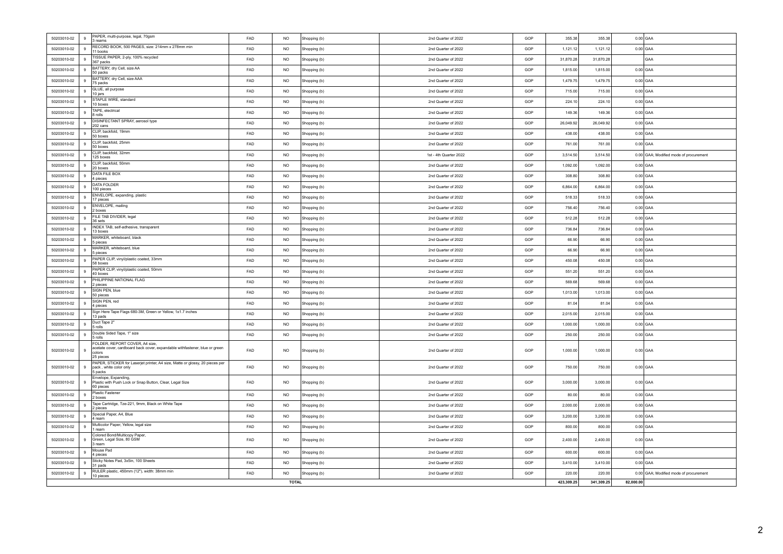| 50203010-02                                           | 9  | PAPER, multi-purpose, legal, 70gsm<br>3 reams                                                                                        | FAD | <b>NO</b> | Shopping (b) | 2nd Quarter of 2022    | GOP | 355.38    | 355.38    | $0.00$ GAA                             |
|-------------------------------------------------------|----|--------------------------------------------------------------------------------------------------------------------------------------|-----|-----------|--------------|------------------------|-----|-----------|-----------|----------------------------------------|
| 50203010-02                                           | 9  | RECORD BOOK, 500 PAGES, size: 214mm x 278mm min<br>11 books                                                                          | FAD | <b>NO</b> | Shopping (b) | 2nd Quarter of 2022    | GOP | 1,121.12  | 1,121.12  | $0.00$ GAA                             |
| 50203010-02                                           | 9  | TISSUE PAPER, 2-ply, 100% recycled<br>367 packs                                                                                      | FAD | <b>NO</b> | Shopping (b) | 2nd Quarter of 2022    | GOP | 31,870.28 | 31,870.28 | GAA                                    |
| 50203010-02                                           | 9  | BATTERY, dry Cell, size AA<br>50 packs                                                                                               | FAD | <b>NO</b> | Shopping (b) | 2nd Quarter of 2022    | GOP | 1,815.00  | 1,815.00  | $0.00$ GAA                             |
| 50203010-02                                           | 9  | BATTERY, dry Cell, size AAA<br>75 packs                                                                                              | FAD | <b>NO</b> | Shopping (b) | 2nd Quarter of 2022    | GOP | 1,479.75  | 1,479.75  | $0.00$ GAA                             |
| 50203010-02                                           | 9  | GLUE, all purpose<br>10 jars                                                                                                         | FAD | <b>NO</b> | Shopping (b) | 2nd Quarter of 2022    | GOP | 715.00    | 715.00    | $0.00$ GAA                             |
| 50203010-02                                           | 9  | STAPLE WIRE, standard<br>10 boxes                                                                                                    | FAD | <b>NO</b> | Shopping (b) | 2nd Quarter of 2022    | GOP | 224.10    | 224.10    | $0.00$ GAA                             |
| 50203010-02                                           | 9  | TAPE, electrical<br>8 rolls                                                                                                          | FAD | <b>NO</b> | Shopping (b) | 2nd Quarter of 2022    | GOP | 149.36    | 149.36    | $0.00$ GAA                             |
| 50203010-02                                           | 9  | DISINFECTANT SPRAY, aerosol type<br>202 cans                                                                                         | FAD | <b>NO</b> | Shopping (b) | 2nd Quarter of 2022    | GOP | 26,049.92 | 26,049.92 | $0.00$ GAA                             |
| 50203010-02                                           | 9  | CLIP, backfold, 19mm<br>50 boxes                                                                                                     | FAD | <b>NO</b> | Shopping (b) | 2nd Quarter of 2022    | GOP | 438.00    | 438.00    | $0.00$ GAA                             |
| 50203010-02                                           | 9  | CLIP, backfold, 25mm<br>50 boxes                                                                                                     | FAD | <b>NO</b> | Shopping (b) | 2nd Quarter of 2022    | GOP | 761.00    | 761.00    | $0.00$ GAA                             |
| 50203010-02                                           | 9  | CLIP, backfold, 32mm<br>125 boxes                                                                                                    | FAD | <b>NO</b> | Shopping (b) | 1st - 4th Quarter 2022 | GOP | 3,514.50  | 3,514.50  | 0.00 GAA; Modified mode of procurement |
| 50203010-02                                           | 9  | CLIP, backfold, 50mm<br>20 boxes                                                                                                     | FAD | <b>NO</b> | Shopping (b) | 2nd Quarter of 2022    | GOP | 1,092.00  | 1,092.00  | $0.00$ GAA                             |
| 50203010-02                                           | 9  | DATA FILE BOX<br>4 pieces                                                                                                            | FAD | <b>NO</b> | Shopping (b) | 2nd Quarter of 2022    | GOP | 308.80    | 308.80    | $0.00$ GAA                             |
| 50203010-02                                           | 9  | DATA FOI DER<br>100 pieces                                                                                                           | FAD | <b>NO</b> | Shopping (b) | 2nd Quarter of 2022    | GOP | 6,864.00  | 6,864.00  | $0.00$ GAA                             |
| 50203010-02                                           | 9  | ENVELOPE, expanding, plastic<br>17 pieces                                                                                            | FAD | <b>NO</b> | Shopping (b) | 2nd Quarter of 2022    | GOP | 518.33    | 518.33    | $0.00$ GAA                             |
| 50203010-02                                           | 9  | ENVELOPE, mailing<br>2 boxes                                                                                                         | FAD | <b>NO</b> | Shopping (b) | 2nd Quarter of 2022    | GOP | 756.40    | 756.40    | $0.00$ GAA                             |
| 50203010-02                                           | 9  | FILE TAB DIVIDER, legal<br>36 sets                                                                                                   | FAD | <b>NO</b> | Shopping (b) | 2nd Quarter of 2022    | GOP | 512.28    | 512.28    | $0.00$ GAA                             |
| 50203010-02                                           | 9  | INDEX TAB, self-adhesive, transparent<br>13 boxes                                                                                    | FAD | <b>NO</b> | Shopping (b) | 2nd Quarter of 2022    | GOP | 736.84    | 736.84    | $0.00$ GAA                             |
| 50203010-02                                           | 9  | MARKER, whiteboard, black<br>5 pieces                                                                                                | FAD | <b>NO</b> | Shopping (b) | 2nd Quarter of 2022    | GOP | 66.90     | 66.90     | $0.00$ GAA                             |
| 50203010-02                                           | 9  | MARKER, whiteboard, blue<br>15 pieces                                                                                                | FAD | <b>NO</b> | Shopping (b) | 2nd Quarter of 2022    | GOP | 66.90     | 66.90     | $0.00$ GAA                             |
| 50203010-02                                           | 9  | PAPER CLIP, vinyl/plastic coated, 33mm<br>58 hoxes                                                                                   | FAD | <b>NO</b> | Shopping (b) | 2nd Quarter of 2022    | GOP | 450.08    | 450.08    | $0.00$ GAA                             |
| 50203010-02                                           | 9  | PAPER CLIP, vinyl/plastic coated, 50mm<br>40 boxes                                                                                   | FAD | <b>NO</b> | Shopping (b) | 2nd Quarter of 2022    | GOP | 551.20    | 551.20    | $0.00$ GAA                             |
| 50203010-02                                           | -9 | PHILIPPINE NATIONAL FLAG<br>2 pieces                                                                                                 | FAD | <b>NO</b> | Shopping (b) | 2nd Quarter of 2022    | GOP | 569.68    | 569.68    | $0.00$ GAA                             |
| 50203010-02                                           | 9  | SIGN PEN, blue<br>50 pieces                                                                                                          | FAD | <b>NO</b> | Shopping (b) | 2nd Quarter of 2022    | GOP | 1,013.00  | 1,013.00  | $0.00$ GAA                             |
| 50203010-02                                           | 9  | SIGN PEN, red<br>4 pieces                                                                                                            | FAD | <b>NO</b> | Shopping (b) | 2nd Quarter of 2022    | GOP | 81.04     | 81.04     | $0.00$ GAA                             |
| 50203010-02                                           | 9  | Sign Here Tape Flags 680-3M, Green or Yellow, 1x1.7 inches<br>13 pads                                                                | FAD | <b>NO</b> | Shopping (b) | 2nd Quarter of 2022    | GOP | 2,015.00  | 2,015.00  | $0.00$ GAA                             |
| 50203010-02                                           | 9  | Duct Tape 2"<br>5 rolls                                                                                                              | FAD | <b>NO</b> | Shopping (b) | 2nd Quarter of 2022    | GOP | 1,000.00  | 1,000.00  | $0.00$ GAA                             |
| 50203010-02                                           | 9  | Double Sided Tape, 1" size<br>5 rolls                                                                                                | FAD | <b>NO</b> | Shopping (b) | 2nd Quarter of 2022    | GOP | 250.00    | 250.00    | $0.00$ GAA                             |
| 50203010-02                                           | 9  | FOLDER, REPORT COVER, A4 size,<br>acetate cover, cardboard back cover, expandable withfastener, blue or green<br>colors<br>25 pieces | FAD | <b>NO</b> | Shopping (b) | 2nd Quarter of 2022    | GOP | 1,000.00  | 1,000.00  | $0.00$ GAA                             |
| 50203010-02                                           | 9  | PAPER, STICKER for Laserjet printer, A4 size, Matte or glossy, 20 pieces per<br>pack, white color only<br>5 packs                    | FAD | <b>NO</b> | Shopping (b) | 2nd Quarter of 2022    | GOP | 750.00    | 750.00    | $0.00$ GAA                             |
| 50203010-02                                           | 9  | Envelope, Expanding,<br>Plastic with Push Lock or Snap Button, Clear, Legal Size<br>60 pieces                                        | FAD | <b>NO</b> | Shopping (b) | 2nd Quarter of 2022    | GOP | 3,000.00  | 3,000.00  | $0.00$ GAA                             |
| 50203010-02                                           | 9  | Plastic Fastener<br>2 boxes                                                                                                          | FAD | <b>NO</b> | Shopping (b) | 2nd Quarter of 2022    | GOP | 80.00     | 80.00     | $0.00$ GAA                             |
| 50203010-02                                           | 9  | Tape Cartridge, Tze-221, 9mm, Black on White Tape<br>2 pieces                                                                        | FAD | <b>NO</b> | Shopping (b) | 2nd Quarter of 2022    | GOP | 2,000.00  | 2,000.00  | $0.00$ GAA                             |
| 50203010-02                                           | 9  | Special Paper, A4, Blue<br>4 ream                                                                                                    | FAD | <b>NO</b> | Shopping (b) | 2nd Quarter of 2022    | GOP | 3,200.00  | 3,200.00  | $0.00$ GAA                             |
| 50203010-02                                           | 9  | Multicolor Paper, Yellow, legal size<br>1 ream                                                                                       | FAD | <b>NO</b> | Shopping (b) | 2nd Quarter of 2022    | GOP | 800.00    | 800.00    | $0.00$ GAA                             |
| 50203010-02                                           | 9  | Colored Bond/Multicopy Paper,<br>Green, Legal Size, 80 GSM<br>13 ream                                                                | FAD | <b>NO</b> | Shopping (b) | 2nd Quarter of 2022    | GOP | 2,400.00  | 2,400.00  | $0.00$ GAA                             |
| 50203010-02                                           | 9  | Mouse Pad<br>4 pieces                                                                                                                | FAD | <b>NO</b> | Shopping (b) | 2nd Quarter of 2022    | GOP | 600.00    | 600.00    | $0.00$ GAA                             |
| 50203010-02                                           | 9  | Sticky Notes Pad, 3x5in, 100 Sheets<br>31 pads                                                                                       | FAD | <b>NO</b> | Shopping (b) | 2nd Quarter of 2022    | GOP | 3,410.00  | 3,410.00  | $0.00$ GAA                             |
| 50203010-02                                           | 9  | RULER plastic, 450mm (12"), width: 38mm min<br>10 pieces                                                                             | FAD | <b>NO</b> | Shopping (b) | 2nd Quarter of 2022    | GOP | 220.00    | 220.00    | 0.00 GAA; Modified mode of procurement |
| <b>TOTAL</b><br>423,309.25<br>82,000.00<br>341,309.25 |    |                                                                                                                                      |     |           |              |                        |     |           |           |                                        |